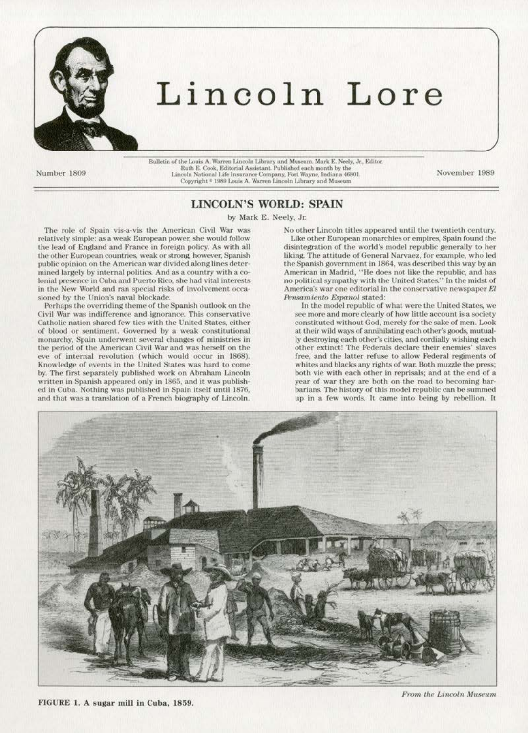

## Lincoln Lore

Number 1809

 $\label{thm:2} \textsc{Bullet} \textsc{in} \textsc{of the Louis A. Warren Lincoln Library and Museum. Mark E. Neely, Jr. Editor. \textsc{Rath E. Cook, Editorial Assistant. Published each month by the Lincoln National Life Insurance Company, Fort Wayne, Indiana 46801. Copyright  $^{\circ}$  1989 Louis A. Warren Lincoln Library and Museum$ 

November 1989

## **LINCOLN'S WORLD: SPAIN**

by Mark E. Neely, Jr.

The role of Spain vis-a-vis the American Civil War was relatively simple: as a weak European power, she would follow the lead of England and France in foreign policy. As with all the other European countries, weak or strong, however, Spanish public opinion on the American war divided along lines determined largely by internal politics. And as a country with a colonial presence in Cuba and Puerto Rico, she had vital interests in the New World and ran special risks of involvement occasioned by the Union's naval blockade.

Perhaps the overriding theme of the Spanish outlook on the Civil War was indifference and ignorance. This conservative Catholic nation shared few ties with the United States, either of blood or sentiment. Governed by a weak constitutional monarchy, Spain underwent several changes of ministries in the period of the American Civil War and was herself on the eve of internal revolution (which would occur in 1868). Knowledge of events in the United States was hard to come by. The first separately published work on Abraham Lincoln written in Spanish appeared only in 1865, and it was published in Cuba. Nothing was published in Spain itself until 1876, and that was a translation of a French biography of Lincoln.

No other Lincoln titles appeared until the twentieth century. Like other European monarchies or empires, Spain found the disintegration of the world's model republic generally to her liking. The attitude of General Narvaez, for example, who led the Spanish government in 1864, was described this way by an American in Madrid, "He does not like the republic, and has no political sympathy with the United States." In the midst of America's war one editorial in the conservative newspaper El Pensamiento Espanol stated:

In the model republic of what were the United States, we see more and more clearly of how little account is a society constituted without God, merely for the sake of men. Look at their wild ways of annihilating each other's goods, mutually destroying each other's cities, and cordially wishing each other extinct! The Federals declare their enemies' slaves free, and the latter refuse to allow Federal regiments of whites and blacks any rights of war. Both muzzle the press; both vie with each other in reprisals; and at the end of a year of war they are both on the road to becoming barbarians. The history of this model republic can be summed up in a few words. It came into being by rebellion. It



FIGURE 1. A sugar mill in Cuba, 1859.

From the Lincoln Museum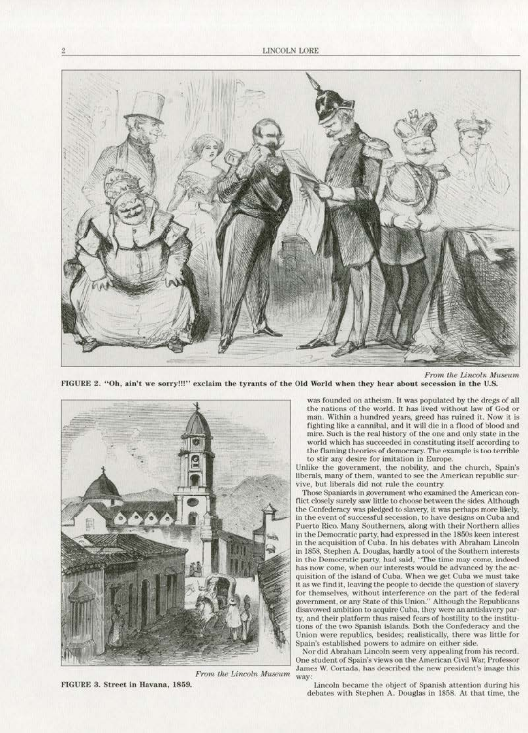

FIGURE 2. "Oh, ain't we sorry!!!" exclaim the tyrants of the Old World when they hear about secession in the U.S.





FIGURE 3. Street in Havana. 1859.

was founded on atheism. It was populated by the dregs of all the nations of the world. It has lived without law of God or man. Within a hundred years, greed has ruined it. Now it is fighting like a cannibal, and it will die in a flood of blood and mire. Such is the real history of the one and only state in the world which has succeeded in constituting itself according to the flaming theories of democracy. The example is too terrible to stir any desire for imitation in Europe.

Unlike the government, the nobility, and the church, Spain's liberals. many of them, wanted to see the American republic sur· vive, but liberals did not rule the country.

Those Spaniards in government who examined the American conflict closely surely saw little to choose between the sides. Although the Confederacy was pledged to slavery, it was perhaps more likely, in the event of successful secession, to have designs on Cuba and Puerto Rico. Many Southerners, along with their Northern allies in the Democratic party, had expressed in the 1850s keen interest in the acquisition of Cuba. In his debates with Abraham Lincoln in 1858, Stephen A. Douglas, hardly a tool of the Southern interests in the Democratic party, had said, "The time may come, indeed has now come, when our interests would be advanced by the acquisition of the island of Cuba. When we get Cuba we must take it as we find it, leaving the people to decide the question of slavery for themselves, without interference on the part of the federal government, or any State of this Union.'' Although the Republicans disavowed ambition to acquire Cuba, they were an antislavery party, and their platform thus raised fears of hostility to the institu-<br>tions of the two Spanish islands. Both the Confederacy and the Union were republics, besides; realistically, there was little for<br>Spain's established powers to admire on either side.

Nor did Abraham Lincoln seem very appealing from his record. One student of Spain's views on the American Civil War, Professor From the Lincoln Museum James W. Cortada, has described the new president's image this way:

Lincoln became the object of Spanish attention during his debates with Stephen A. Douglas in 1858. At that time, the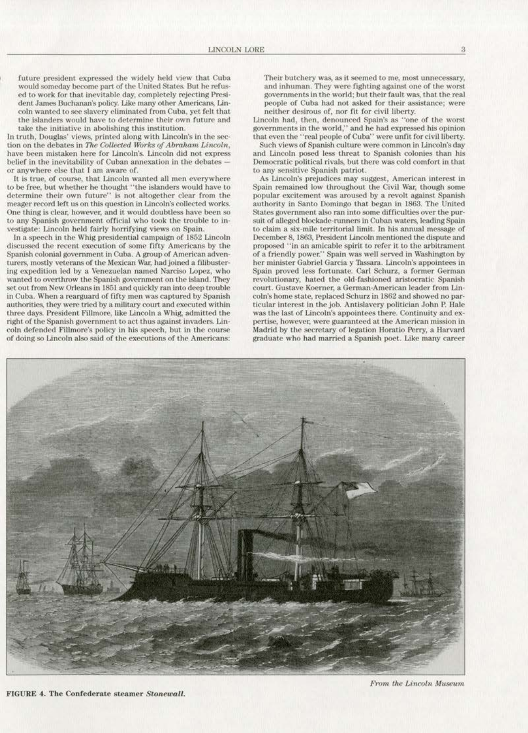future president expressed the widely held view that Cuba ed to work for that inevitable day, completely rejecting President James Buchanan's policy. Like many other Americans, Lincoln wanted to see slavery eliminated from Cuba, yet felt that the islanders would have to determine their own future and take the initiative in abolishing this institution.

In truth, Douglas' views, printed along with Lincoln's in the section on the debates in The Collected Works of Abraham Lincoln, have been mistaken here for Lincoln's. Lincoln did not express belief in the inevitability of Cuban annexation in the debates or anywhere else that I am aware of.

It is true, of course, that Lincoln wanted all men everywhere to be free, but whether he thought " the islanders would have to determine their own future" is not altogether clear from the meager record left us on this question in Lincoln's collected works. One thing is dear. however, and it would doubtless have been so to any Spanish government official who took the trouble to investigate: Lincoln held fairly horrifying views on Spain.

In a speech in the Whig presidential campaign of 1852 Lincoln discussed the recent execution of some fifty Americans by the Spanish colonial government in Cuba. A group of American adventurers, mostly veterans of the Mexican War, had joined a filibustering expedition led by a Venezuelan named Narciso Lopez, who wanted to overthrow the Spanish government on the island. They set out from New Orleans in 1851 and quickly ran into deep trouble in Cuba. When a rearguard of fifty men was captured by Spanish authorities. they were tried by a military court and executed within three days. President Fillmore, like Lincoln a Whig, admitted the right of the Spanish government to act thus against invaders. Lincoln defended Fillmore's policy in his speech, but in the course of doing so Lincoln also said or the executions of the Americans:

Their butchery was, as it seemed to me, most unnecessary, and inhuman. They were fighting against one of the worst governments in the world; but their fault was, that the real people of Cuba had not asked for their assistance; were neither desirous of, nor fit for civil liberty.

Lincoln had, then, denounced Spain's as "one of the worst governments in the world," and he had expressed hls opinion that even the "real people of Cuba" were unfit for civil liberty.

Such views of Spanish culture were common in Lincoln's day and Lincoln posed less threat to Spanish colonies than his Democratic political rivals, but there was cold comfort in that to any sensitive Spanish patriot.

As Lincoln's prejudices may suggest, American interest in Spain remained low throughout the Civil War, though some popular excitement was aroused by a revolt against Spanish authority In Santo Domingo that began in 1863. The United States government also ran into some difficulties over the pursuit of alleged blockade-runners in Cuban waters, leading Spain to claim a six·mllc territorial limit. In his annual message of December 8, 1863, President Lincoln mentioned the dispute and proposed "in an amicable spirit to refer it to the arbitrament of a friendly power." Spain was well served in Washington by her minister Gabriel Garcia y Tassara. Lincoln's appointees in Spain proved less fortunate. Carl Schurz, a former German revolutionary, hated the old-fashioned aristocratic Spanish<br>court. Gustave Koerner, a German-American leader from Lincoln's home state, replaced Schurz in 1862 and showed no particular interest in the job. Antislavery politician John P. Hale was the last of Lincoln's appointees there. Continuity and expertise, however, were guaranteed at the American mission in Madrid by the secretary of legation Horatio Perry, a Harvard graduate who had married a Spanish poet. Like many career



FIGURE 4. The Confederate steamer Stonewall.

From the Lincoln Museum